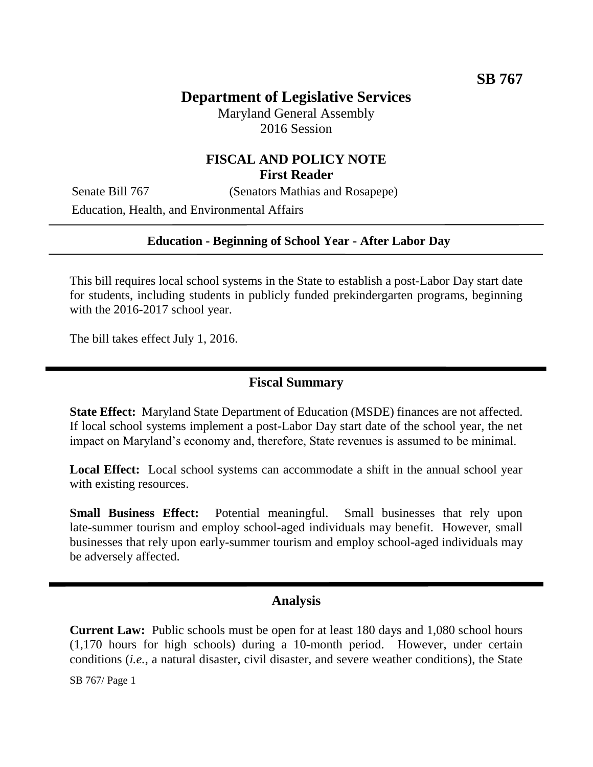# **Department of Legislative Services**

Maryland General Assembly 2016 Session

# **FISCAL AND POLICY NOTE First Reader**

Senate Bill 767 (Senators Mathias and Rosapepe) Education, Health, and Environmental Affairs

#### **Education - Beginning of School Year - After Labor Day**

This bill requires local school systems in the State to establish a post-Labor Day start date for students, including students in publicly funded prekindergarten programs, beginning with the 2016-2017 school year.

The bill takes effect July 1, 2016.

## **Fiscal Summary**

**State Effect:** Maryland State Department of Education (MSDE) finances are not affected. If local school systems implement a post-Labor Day start date of the school year, the net impact on Maryland's economy and, therefore, State revenues is assumed to be minimal.

Local Effect: Local school systems can accommodate a shift in the annual school year with existing resources.

**Small Business Effect:** Potential meaningful. Small businesses that rely upon late-summer tourism and employ school-aged individuals may benefit. However, small businesses that rely upon early-summer tourism and employ school-aged individuals may be adversely affected.

## **Analysis**

**Current Law:** Public schools must be open for at least 180 days and 1,080 school hours (1,170 hours for high schools) during a 10-month period. However, under certain conditions (*i.e.,* a natural disaster, civil disaster, and severe weather conditions), the State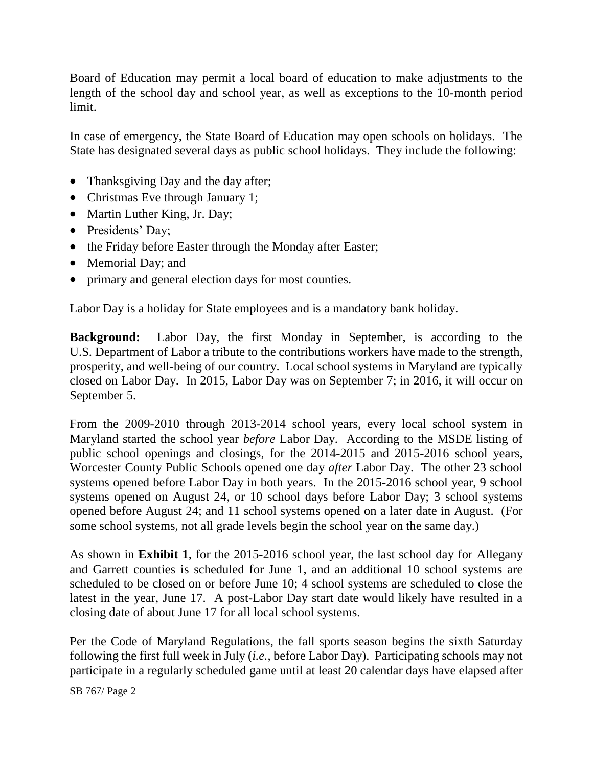Board of Education may permit a local board of education to make adjustments to the length of the school day and school year, as well as exceptions to the 10-month period limit.

In case of emergency, the State Board of Education may open schools on holidays. The State has designated several days as public school holidays. They include the following:

- Thanksgiving Day and the day after;
- Christmas Eve through January 1;
- Martin Luther King, Jr. Day;
- Presidents' Day;
- the Friday before Easter through the Monday after Easter;
- Memorial Day; and
- primary and general election days for most counties.

Labor Day is a holiday for State employees and is a mandatory bank holiday.

**Background:** Labor Day, the first Monday in September, is according to the U.S. Department of Labor a tribute to the contributions workers have made to the strength, prosperity, and well-being of our country. Local school systems in Maryland are typically closed on Labor Day. In 2015, Labor Day was on September 7; in 2016, it will occur on September 5.

From the 2009-2010 through 2013-2014 school years, every local school system in Maryland started the school year *before* Labor Day. According to the MSDE listing of public school openings and closings, for the 2014-2015 and 2015-2016 school years, Worcester County Public Schools opened one day *after* Labor Day. The other 23 school systems opened before Labor Day in both years. In the 2015-2016 school year, 9 school systems opened on August 24, or 10 school days before Labor Day; 3 school systems opened before August 24; and 11 school systems opened on a later date in August. (For some school systems, not all grade levels begin the school year on the same day.)

As shown in **Exhibit 1**, for the 2015-2016 school year, the last school day for Allegany and Garrett counties is scheduled for June 1, and an additional 10 school systems are scheduled to be closed on or before June 10; 4 school systems are scheduled to close the latest in the year, June 17. A post-Labor Day start date would likely have resulted in a closing date of about June 17 for all local school systems.

Per the Code of Maryland Regulations, the fall sports season begins the sixth Saturday following the first full week in July (*i.e.*, before Labor Day). Participating schools may not participate in a regularly scheduled game until at least 20 calendar days have elapsed after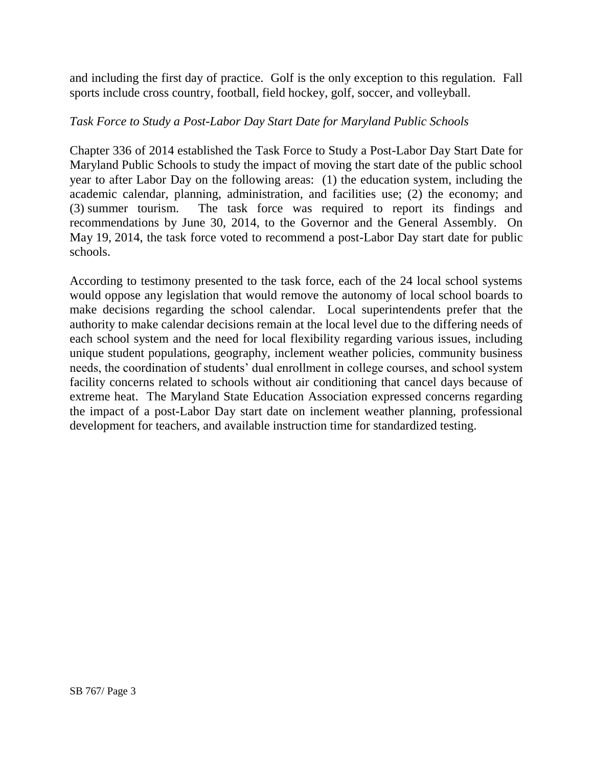and including the first day of practice. Golf is the only exception to this regulation. Fall sports include cross country, football, field hockey, golf, soccer, and volleyball.

#### *Task Force to Study a Post-Labor Day Start Date for Maryland Public Schools*

Chapter 336 of 2014 established the Task Force to Study a Post-Labor Day Start Date for Maryland Public Schools to study the impact of moving the start date of the public school year to after Labor Day on the following areas: (1) the education system, including the academic calendar, planning, administration, and facilities use; (2) the economy; and (3) summer tourism. The task force was required to report its findings and recommendations by June 30, 2014, to the Governor and the General Assembly. On May 19, 2014, the task force voted to recommend a post-Labor Day start date for public schools.

According to testimony presented to the task force, each of the 24 local school systems would oppose any legislation that would remove the autonomy of local school boards to make decisions regarding the school calendar. Local superintendents prefer that the authority to make calendar decisions remain at the local level due to the differing needs of each school system and the need for local flexibility regarding various issues, including unique student populations, geography, inclement weather policies, community business needs, the coordination of students' dual enrollment in college courses, and school system facility concerns related to schools without air conditioning that cancel days because of extreme heat. The Maryland State Education Association expressed concerns regarding the impact of a post-Labor Day start date on inclement weather planning, professional development for teachers, and available instruction time for standardized testing.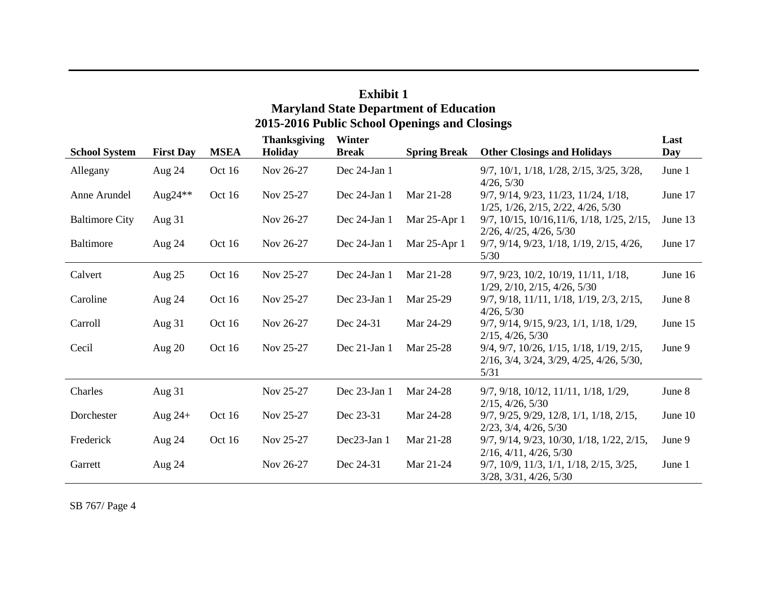| елшин 1<br><b>Maryland State Department of Education</b><br>2015-2016 Public School Openings and Closings |                  |             |                                |                        |                     |                                                                                                                   |             |  |  |  |  |  |
|-----------------------------------------------------------------------------------------------------------|------------------|-------------|--------------------------------|------------------------|---------------------|-------------------------------------------------------------------------------------------------------------------|-------------|--|--|--|--|--|
| <b>School System</b>                                                                                      | <b>First Day</b> | <b>MSEA</b> | <b>Thanksgiving</b><br>Holiday | Winter<br><b>Break</b> | <b>Spring Break</b> | <b>Other Closings and Holidays</b>                                                                                | Last<br>Day |  |  |  |  |  |
| Allegany                                                                                                  | Aug 24           | Oct 16      | Nov 26-27                      | Dec 24-Jan 1           |                     | $9/7$ , $10/1$ , $1/18$ , $1/28$ , $2/15$ , $3/25$ , $3/28$ ,<br>4/26, 5/30                                       | June 1      |  |  |  |  |  |
| Anne Arundel                                                                                              | Aug24 $*$        | Oct 16      | Nov 25-27                      | Dec 24-Jan 1           | Mar 21-28           | 9/7, 9/14, 9/23, 11/23, 11/24, 1/18,<br>$1/25$ , $1/26$ , $2/15$ , $2/22$ , $4/26$ , $5/30$                       | June 17     |  |  |  |  |  |
| <b>Baltimore City</b>                                                                                     | Aug $31$         |             | Nov 26-27                      | Dec 24-Jan 1           | Mar 25-Apr 1        | 9/7, 10/15, 10/16, 11/6, 1/18, 1/25, 2/15,<br>$2/26$ , $4/25$ , $4/26$ , $5/30$                                   | June 13     |  |  |  |  |  |
| <b>Baltimore</b>                                                                                          | Aug 24           | Oct 16      | Nov 26-27                      | Dec 24-Jan 1           | Mar 25-Apr 1        | $9/7, 9/14, 9/23, 1/18, 1/19, 2/15, 4/26,$<br>5/30                                                                | June 17     |  |  |  |  |  |
| Calvert                                                                                                   | Aug 25           | Oct 16      | Nov 25-27                      | Dec 24-Jan 1           | Mar 21-28           | $9/7$ , $9/23$ , $10/2$ , $10/19$ , $11/11$ , $1/18$ ,<br>$1/29$ , $2/10$ , $2/15$ , $4/26$ , $5/30$              | June 16     |  |  |  |  |  |
| Caroline                                                                                                  | Aug 24           | Oct 16      | Nov 25-27                      | Dec 23-Jan 1           | Mar 25-29           | 9/7, 9/18, 11/11, 1/18, 1/19, 2/3, 2/15,<br>4/26, 5/30                                                            | June 8      |  |  |  |  |  |
| Carroll                                                                                                   | Aug $31$         | Oct 16      | Nov 26-27                      | Dec 24-31              | Mar 24-29           | 9/7, 9/14, 9/15, 9/23, 1/1, 1/18, 1/29,<br>$2/15$ , $4/26$ , $5/30$                                               | June 15     |  |  |  |  |  |
| Cecil                                                                                                     | Aug $20$         | Oct 16      | Nov 25-27                      | Dec 21-Jan 1           | Mar 25-28           | 9/4, 9/7, 10/26, 1/15, 1/18, 1/19, 2/15,<br>$2/16$ , $3/4$ , $3/24$ , $3/29$ , $4/25$ , $4/26$ , $5/30$ ,<br>5/31 | June 9      |  |  |  |  |  |
| Charles                                                                                                   | Aug 31           |             | Nov 25-27                      | Dec 23-Jan 1           | Mar 24-28           | 9/7, 9/18, 10/12, 11/11, 1/18, 1/29,<br>$2/15$ , $4/26$ , $5/30$                                                  | June 8      |  |  |  |  |  |
| Dorchester                                                                                                | Aug $24+$        | Oct 16      | Nov 25-27                      | Dec 23-31              | Mar 24-28           | 9/7, 9/25, 9/29, 12/8, 1/1, 1/18, 2/15,<br>$2/23$ , $3/4$ , $4/26$ , $5/30$                                       | June 10     |  |  |  |  |  |
| Frederick                                                                                                 | Aug 24           | Oct 16      | Nov 25-27                      | Dec23-Jan 1            | Mar 21-28           | 9/7, 9/14, 9/23, 10/30, 1/18, 1/22, 2/15,<br>$2/16$ , $4/11$ , $4/26$ , $5/30$                                    | June 9      |  |  |  |  |  |
| Garrett                                                                                                   | Aug $24$         |             | Nov 26-27                      | Dec 24-31              | Mar 21-24           | $9/7$ , $10/9$ , $11/3$ , $1/1$ , $1/18$ , $2/15$ , $3/25$ ,<br>$3/28$ , $3/31$ , $4/26$ , $5/30$                 | June 1      |  |  |  |  |  |

**Exhibit 1**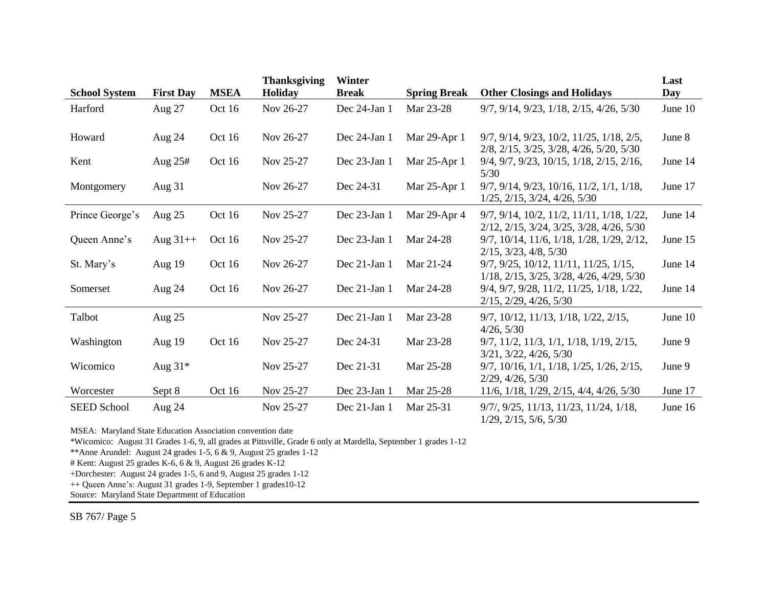|                      |                  |             | <b>Thanksgiving</b> | Winter       |                     |                                                                                        | Last    |
|----------------------|------------------|-------------|---------------------|--------------|---------------------|----------------------------------------------------------------------------------------|---------|
| <b>School System</b> | <b>First Day</b> | <b>MSEA</b> | <b>Holiday</b>      | <b>Break</b> | <b>Spring Break</b> | <b>Other Closings and Holidays</b>                                                     | Day     |
| Harford              | Aug 27           | Oct 16      | Nov 26-27           | Dec 24-Jan 1 | Mar 23-28           | 9/7, 9/14, 9/23, 1/18, 2/15, 4/26, 5/30                                                | June 10 |
| Howard               | Aug 24           | Oct 16      | Nov 26-27           | Dec 24-Jan 1 | Mar 29-Apr 1        | 9/7, 9/14, 9/23, 10/2, 11/25, 1/18, 2/5,<br>2/8, 2/15, 3/25, 3/28, 4/26, 5/20, 5/30    | June 8  |
| Kent                 | Aug $25#$        | Oct 16      | Nov 25-27           | Dec 23-Jan 1 | Mar 25-Apr 1        | 9/4, 9/7, 9/23, 10/15, 1/18, 2/15, 2/16,<br>5/30                                       | June 14 |
| Montgomery           | Aug $31$         |             | Nov 26-27           | Dec 24-31    | Mar 25-Apr 1        | 9/7, 9/14, 9/23, 10/16, 11/2, 1/1, 1/18,<br>$1/25$ , $2/15$ , $3/24$ , $4/26$ , $5/30$ | June 17 |
| Prince George's      | Aug $25$         | Oct 16      | Nov 25-27           | Dec 23-Jan 1 | Mar 29-Apr 4        | 9/7, 9/14, 10/2, 11/2, 11/11, 1/18, 1/22,<br>2/12, 2/15, 3/24, 3/25, 3/28, 4/26, 5/30  | June 14 |
| Queen Anne's         | Aug $31++$       | Oct 16      | Nov 25-27           | Dec 23-Jan 1 | Mar 24-28           | 9/7, 10/14, 11/6, 1/18, 1/28, 1/29, 2/12,<br>$2/15$ , $3/23$ , $4/8$ , $5/30$          | June 15 |
| St. Mary's           | Aug $19$         | Oct 16      | Nov 26-27           | Dec 21-Jan 1 | Mar 21-24           | 9/7, 9/25, 10/12, 11/11, 11/25, 1/15,<br>1/18, 2/15, 3/25, 3/28, 4/26, 4/29, 5/30      | June 14 |
| Somerset             | Aug 24           | Oct 16      | Nov 26-27           | Dec 21-Jan 1 | Mar 24-28           | 9/4, 9/7, 9/28, 11/2, 11/25, 1/18, 1/22,<br>$2/15$ , $2/29$ , $4/26$ , $5/30$          | June 14 |
| Talbot               | Aug $25$         |             | Nov 25-27           | Dec 21-Jan 1 | Mar 23-28           | 9/7, 10/12, 11/13, 1/18, 1/22, 2/15,<br>4/26, 5/30                                     | June 10 |
| Washington           | Aug 19           | Oct 16      | Nov 25-27           | Dec 24-31    | Mar 23-28           | $9/7$ , $11/2$ , $11/3$ , $1/1$ , $1/18$ , $1/19$ , $2/15$ ,<br>3/21, 3/22, 4/26, 5/30 | June 9  |
| Wicomico             | Aug 31*          |             | Nov 25-27           | Dec 21-31    | Mar 25-28           | $9/7$ , $10/16$ , $1/1$ , $1/18$ , $1/25$ , $1/26$ , $2/15$ ,<br>2/29, 4/26, 5/30      | June 9  |
| Worcester            | Sept 8           | Oct 16      | Nov 25-27           | Dec 23-Jan 1 | Mar 25-28           | $11/6$ , $1/18$ , $1/29$ , $2/15$ , $4/4$ , $4/26$ , $5/30$                            | June 17 |
| <b>SEED School</b>   | Aug 24           |             | Nov 25-27           | Dec 21-Jan 1 | Mar 25-31           | 9/7/, 9/25, 11/13, 11/23, 11/24, 1/18,<br>$1/29$ , $2/15$ , $5/6$ , $5/30$             | June 16 |

MSEA: Maryland State Education Association convention date

\*Wicomico: August 31 Grades 1-6, 9, all grades at Pittsville, Grade 6 only at Mardella, September 1 grades 1-12

\*\*Anne Arundel: August 24 grades 1-5, 6 & 9, August 25 grades 1-12

# Kent: August 25 grades K-6, 6 & 9, August 26 grades K-12

+Dorchester: August 24 grades 1-5, 6 and 9, August 25 grades 1-12

++ Queen Anne's: August 31 grades 1-9, September 1 grades10-12

Source: Maryland State Department of Education